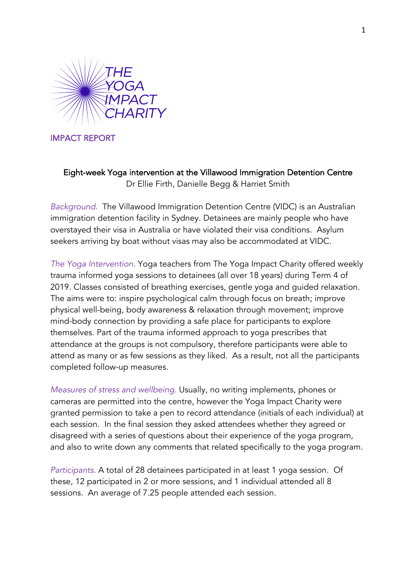

IMPACT REPORT

Eight-week Yoga intervention at the Villawood Immigration Detention Centre Dr Ellie Firth, Danielle Begg & Harriet Smith

*Background.* The Villawood Immigration Detention Centre (VIDC) is an Australian immigration detention facility in Sydney. Detainees are mainly people who have overstayed their visa in Australia or have violated their visa conditions. Asylum seekers arriving by boat without visas may also be accommodated at VIDC.

*The Yoga Intervention.* Yoga teachers from The Yoga Impact Charity offered weekly trauma informed yoga sessions to detainees (all over 18 years) during Term 4 of 2019. Classes consisted of breathing exercises, gentle yoga and guided relaxation. The aims were to: inspire psychological calm through focus on breath; improve physical well-being, body awareness & relaxation through movement; improve mind-body connection by providing a safe place for participants to explore themselves. Part of the trauma informed approach to yoga prescribes that attendance at the groups is not compulsory, therefore participants were able to attend as many or as few sessions as they liked. As a result, not all the participants completed follow-up measures.

*Measures of stress and wellbeing.* Usually, no writing implements, phones or cameras are permitted into the centre, however the Yoga Impact Charity were granted permission to take a pen to record attendance (initials of each individual) at each session. In the final session they asked attendees whether they agreed or disagreed with a series of questions about their experience of the yoga program, and also to write down any comments that related specifically to the yoga program.

*Participants.* A total of 28 detainees participated in at least 1 yoga session. Of these, 12 participated in 2 or more sessions, and 1 individual attended all 8 sessions. An average of 7.25 people attended each session.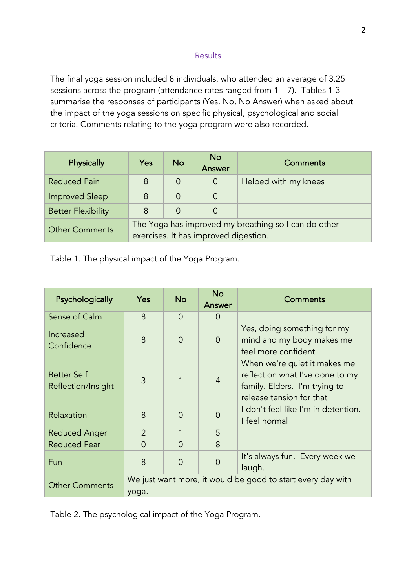## **Results**

The final yoga session included 8 individuals, who attended an average of 3.25 sessions across the program (attendance rates ranged from 1 – 7). Tables 1-3 summarise the responses of participants (Yes, No, No Answer) when asked about the impact of the yoga sessions on specific physical, psychological and social criteria. Comments relating to the yoga program were also recorded.

| Physically                | Yes                                                                                           | <b>No</b> | <b>No</b><br>Answer | <b>Comments</b>      |  |
|---------------------------|-----------------------------------------------------------------------------------------------|-----------|---------------------|----------------------|--|
| <b>Reduced Pain</b>       | 8                                                                                             | $\Omega$  | 0                   | Helped with my knees |  |
| <b>Improved Sleep</b>     | 8                                                                                             | 0         |                     |                      |  |
| <b>Better Flexibility</b> | 8                                                                                             | 0         |                     |                      |  |
| <b>Other Comments</b>     | The Yoga has improved my breathing so I can do other<br>exercises. It has improved digestion. |           |                     |                      |  |

Table 1. The physical impact of the Yoga Program.

| Psychologically                          | Yes                                                                  | <b>No</b> | <b>No</b><br>Answer | Comments                                                                                                                     |  |
|------------------------------------------|----------------------------------------------------------------------|-----------|---------------------|------------------------------------------------------------------------------------------------------------------------------|--|
| Sense of Calm                            | 8                                                                    | $\Omega$  | $\overline{0}$      |                                                                                                                              |  |
| Increased<br>Confidence                  | 8                                                                    | $\Omega$  | $\overline{0}$      | Yes, doing something for my<br>mind and my body makes me<br>feel more confident                                              |  |
| <b>Better Self</b><br>Reflection/Insight | 3                                                                    |           | $\overline{4}$      | When we're quiet it makes me<br>reflect on what I've done to my<br>family. Elders. I'm trying to<br>release tension for that |  |
| Relaxation                               | 8                                                                    | $\Omega$  | ∩                   | I don't feel like I'm in detention.<br>I feel normal                                                                         |  |
| Reduced Anger                            | $\overline{2}$                                                       | 1         | 5                   |                                                                                                                              |  |
| <b>Reduced Fear</b>                      | $\overline{0}$                                                       | $\Omega$  | 8                   |                                                                                                                              |  |
| <b>Fun</b>                               | 8                                                                    | $\Omega$  | $\overline{0}$      | It's always fun. Every week we<br>laugh.                                                                                     |  |
| <b>Other Comments</b>                    | We just want more, it would be good to start every day with<br>yoga. |           |                     |                                                                                                                              |  |

Table 2. The psychological impact of the Yoga Program.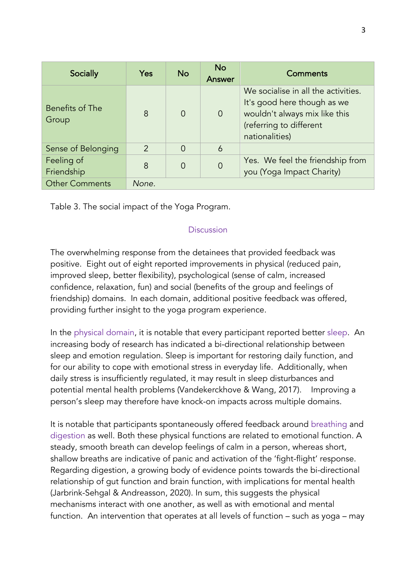| Socially                 | Yes           | <b>No</b> | <b>No</b><br>Answer | Comments                                                                                                                                         |
|--------------------------|---------------|-----------|---------------------|--------------------------------------------------------------------------------------------------------------------------------------------------|
| Benefits of The<br>Group | 8             | $\Omega$  | $\overline{0}$      | We socialise in all the activities.<br>It's good here though as we<br>wouldn't always mix like this<br>(referring to different<br>nationalities) |
| Sense of Belonging       | $\mathcal{P}$ | $\Omega$  | 6                   |                                                                                                                                                  |
| Feeling of<br>Friendship | 8             | $\Omega$  | $\overline{0}$      | Yes. We feel the friendship from<br>you (Yoga Impact Charity)                                                                                    |
| <b>Other Comments</b>    | None.         |           |                     |                                                                                                                                                  |

Table 3. The social impact of the Yoga Program.

## Discussion

The overwhelming response from the detainees that provided feedback was positive. Eight out of eight reported improvements in physical (reduced pain, improved sleep, better flexibility), psychological (sense of calm, increased confidence, relaxation, fun) and social (benefits of the group and feelings of friendship) domains. In each domain, additional positive feedback was offered, providing further insight to the yoga program experience.

In the physical domain, it is notable that every participant reported better sleep. An increasing body of research has indicated a bi-directional relationship between sleep and emotion regulation. Sleep is important for restoring daily function, and for our ability to cope with emotional stress in everyday life. Additionally, when daily stress is insufficiently regulated, it may result in sleep disturbances and potential mental health problems (Vandekerckhove & Wang, 2017). Improving a person's sleep may therefore have knock-on impacts across multiple domains.

It is notable that participants spontaneously offered feedback around breathing and digestion as well. Both these physical functions are related to emotional function. A steady, smooth breath can develop feelings of calm in a person, whereas short, shallow breaths are indicative of panic and activation of the 'fight-flight' response. Regarding digestion, a growing body of evidence points towards the bi-directional relationship of gut function and brain function, with implications for mental health (Jarbrink-Sehgal & Andreasson, 2020). In sum, this suggests the physical mechanisms interact with one another, as well as with emotional and mental function. An intervention that operates at all levels of function – such as yoga – may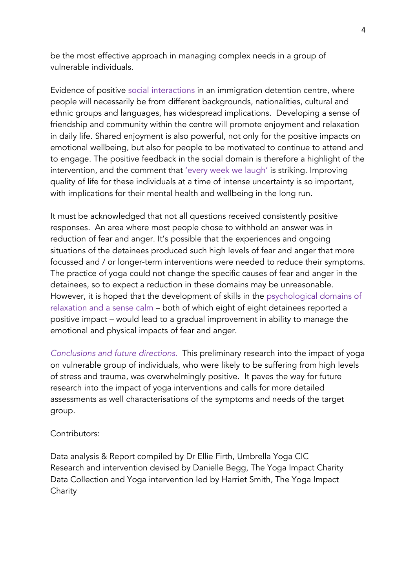be the most effective approach in managing complex needs in a group of vulnerable individuals.

Evidence of positive social interactions in an immigration detention centre, where people will necessarily be from different backgrounds, nationalities, cultural and ethnic groups and languages, has widespread implications. Developing a sense of friendship and community within the centre will promote enjoyment and relaxation in daily life. Shared enjoyment is also powerful, not only for the positive impacts on emotional wellbeing, but also for people to be motivated to continue to attend and to engage. The positive feedback in the social domain is therefore a highlight of the intervention, and the comment that 'every week we laugh' is striking. Improving quality of life for these individuals at a time of intense uncertainty is so important, with implications for their mental health and wellbeing in the long run.

It must be acknowledged that not all questions received consistently positive responses. An area where most people chose to withhold an answer was in reduction of fear and anger. It's possible that the experiences and ongoing situations of the detainees produced such high levels of fear and anger that more focussed and / or longer-term interventions were needed to reduce their symptoms. The practice of yoga could not change the specific causes of fear and anger in the detainees, so to expect a reduction in these domains may be unreasonable. However, it is hoped that the development of skills in the psychological domains of relaxation and a sense calm – both of which eight of eight detainees reported a positive impact – would lead to a gradual improvement in ability to manage the emotional and physical impacts of fear and anger.

*Conclusions and future directions.* This preliminary research into the impact of yoga on vulnerable group of individuals, who were likely to be suffering from high levels of stress and trauma, was overwhelmingly positive. It paves the way for future research into the impact of yoga interventions and calls for more detailed assessments as well characterisations of the symptoms and needs of the target group.

## Contributors:

Data analysis & Report compiled by Dr Ellie Firth, Umbrella Yoga CIC Research and intervention devised by Danielle Begg, The Yoga Impact Charity Data Collection and Yoga intervention led by Harriet Smith, The Yoga Impact **Charity**